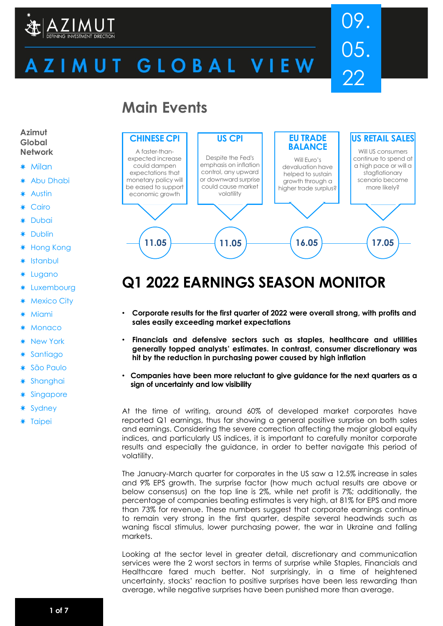

# ZIMUT GLOBAL VIEW

# 09. 05. 22

# **Main Events**



# **Q1 2022 EARNINGS SEASON MONITOR**

- **Corporate results for the first quarter of 2022 were overall strong, with profits and sales easily exceeding market expectations**
- **Financials and defensive sectors such as staples, healthcare and utilities generally topped analysts' estimates. In contrast, consumer discretionary was hit by the reduction in purchasing power caused by high inflation**
- **Companies have been more reluctant to give guidance for the next quarters as a sign of uncertainty and low visibility**
- At the time of writing, around 60% of developed market corporates have reported Q1 earnings, thus far showing a general positive surprise on both sales and earnings. Considering the severe correction affecting the major global equity indices, and particularly US indices, it is important to carefully monitor corporate results and especially the guidance, in order to better navigate this period of volatility.

The January-March quarter for corporates in the US saw a 12.5% increase in sales and 9% EPS growth. The surprise factor (how much actual results are above or below consensus) on the top line is 2%, while net profit is 7%; additionally, the percentage of companies beating estimates is very high, at 81% for EPS and more than 73% for revenue. These numbers suggest that corporate earnings continue to remain very strong in the first quarter, despite several headwinds such as waning fiscal stimulus, lower purchasing power, the war in Ukraine and falling markets.

Looking at the sector level in greater detail, discretionary and communication services were the 2 worst sectors in terms of surprise while Staples, Financials and Healthcare fared much better. Not surprisingly, in a time of heightened uncertainty, stocks' reaction to positive surprises have been less rewarding than average, while negative surprises have been punished more than average.

**Azimut Global Network**

- **Milan**
- Abu Dhabi
- Austin
- Cairo
- **Dubai**
- Dublin
- Hong Kong ∗
- **Istanbul**
- Lugano
- Luxembourg
- Mexico City
- **Miami**
- **Monaco**
- New York
- **Santiago**
- São Paulo
- Shanghai
- Singapore
- Sydney
- \* Taipei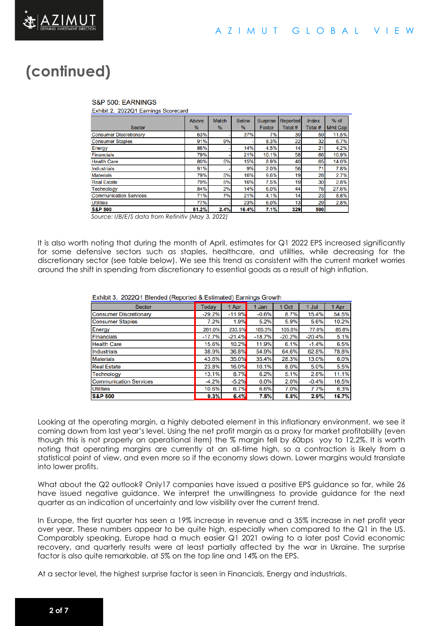

# **(continued)**

#### S&P 500: EARNINGS

Exhibit 2. 2022Q1 Earnings Scorecard

|                               | Above | <b>Match</b> | <b>Below</b> | <b>Surprise</b> | <b>Reported</b> | <b>Index</b> | $%$ of          |
|-------------------------------|-------|--------------|--------------|-----------------|-----------------|--------------|-----------------|
| <b>Sector</b>                 | $\%$  | $\%$         | $\%$         | Factor          | Total #         | Total #      | <b>Mrkt Cap</b> |
| <b>Consumer Discretionary</b> | 63%   |              | 37%          | 7%              | 30              | 59           | 11.5%           |
| <b>Consumer Staples</b>       | 91%   | 9%           |              | 8.3%            | 22              | 32           | 6.7%            |
| Energy                        | 86%   |              | 14%          | 4.5%            | 14              | 21           | 4.2%            |
| <b>Financials</b>             | 79%   |              | 21%          | 10.1%           | 58              | 66           | 10.9%           |
| <b>Health Care</b>            | 80%   | 5%           | 15%          | 8.9%            | 40              | 65           | 14.0%           |
| <b>Industrials</b>            | 91%   |              | 9%           | 2.0%            | 56              | 71           | 7.8%            |
| <b>Materials</b>              | 79%   | 5%           | 16%          | 9.6%            | 19              | 28           | 2.7%            |
| <b>Real Estate</b>            | 79%   | 5%           | 16%          | 7.5%            | 19              | 30           | 2.8%            |
| <b>Technology</b>             | 84%   | 2%           | 14%          | 6.0%            | 44              | 76           | 27.6%           |
| <b>Communication Services</b> | 71%   | 7%           | 21%          | 4.1%            | 14              | 23           | 8.8%            |
| <b>Utilities</b>              | 77%   |              | 23%          | 6.0%            | 13              | 29           | 2.8%            |
| <b>S&amp;P 500</b>            | 81.2% | 2.4%         | 16.4%        | 7.1%            | 329             | 500          |                 |

*Source: I/B/E/S data from Refinitiv (May 3, 2022)*

It is also worth noting that during the month of April, estimates for Q1 2022 EPS increased significantly for some defensive sectors such as staples, healthcare, and utilities, while decreasing for the discretionary sector (see table below). We see this trend as consistent with the current market worries around the shift in spending from discretionary to essential goods as a result of high inflation.

#### Exhibit 3. 2022Q1 Blended (Reported & Estimated) Earnings Growth

| <b>Sector</b>                 | <b>Todav</b> | Apr      | 1 Jan    | 1 Oct    | 1 Jul    | 1 Apr |
|-------------------------------|--------------|----------|----------|----------|----------|-------|
| <b>Consumer Discretionary</b> | $-29.2%$     | $-11.9%$ | $-0.6%$  | 8.7%     | 15.4%    | 54.5% |
| <b>Consumer Staples</b>       | 7.2%         | 1.9%     | 5.2%     | 5.9%     | 5.6%     | 10.2% |
| Energy                        | 261.0%       | 233.5%   | 165.3%   | 105.6%   | 77.0%    | 85.8% |
| <b>Financials</b>             | $-17.7%$     | $-21.4%$ | $-18.7%$ | $-20.2%$ | $-20.4%$ | 5.1%  |
| <b>Health Care</b>            | 15.6%        | 10.2%    | 11.9%    | 6.1%     | $-1.4%$  | 6.5%  |
| <b>Industrials</b>            | 38.9%        | 36.8%    | 54.9%    | 64.6%    | 62.8%    | 78.8% |
| <b>Materials</b>              | 43.6%        | 35.0%    | 35.4%    | 28.3%    | 13.0%    | 6.0%  |
| <b>Real Estate</b>            | 23.8%        | 16.0%    | 10.1%    | 8.0%     | 5.0%     | 5.5%  |
| <b>Technology</b>             | 13.1%        | 8.7%     | 6.2%     | 5.1%     | 2.8%     | 11.1% |
| <b>Communication Services</b> | $-4.2%$      | $-5.2%$  | 0.0%     | 2.0%     | $-0.4%$  | 16.5% |
| <b>Utilities</b>              | 10.6%        | 6.7%     | 6.6%     | 7.0%     | 7.7%     | 6.3%  |
| <b>S&amp;P 500</b>            | 9.3%         | 6.4%     | 7.5%     | 5.8%     | 2.9%     | 16.7% |

Looking at the operating margin, a highly debated element in this inflationary environment, we see it coming down from last year's level. Using the net profit margin as a proxy for market profitability (even though this is not properly an operational item) the % margin fell by 60bps yoy to 12,2%. It is worth noting that operating margins are currently at an all-time high, so a contraction is likely from a statistical point of view, and even more so if the economy slows down. Lower margins would translate into lower profits.

What about the Q2 outlook? Only17 companies have issued a positive EPS guidance so far, while 26 have issued negative guidance. We interpret the unwillingness to provide guidance for the next quarter as an indication of uncertainty and low visibility over the current trend.

In Europe, the first quarter has seen a 19% increase in revenue and a 35% increase in net profit year over year. These numbers appear to be quite high, especially when compared to the Q1 in the US. Comparably speaking, Europe had a much easier Q1 2021 owing to a later post Covid economic recovery, and quarterly results were at least partially affected by the war in Ukraine. The surprise factor is also quite remarkable, at 5% on the top line and 14% on the EPS.

At a sector level, the highest surprise factor is seen in Financials, Energy and industrials.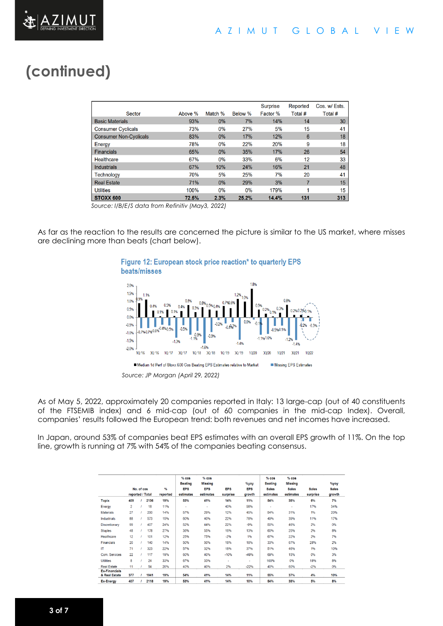# **(continued)**

|                               |         |         |         | <b>Surprise</b> | Reported | Cos. w/ Ests. |
|-------------------------------|---------|---------|---------|-----------------|----------|---------------|
| <b>Sector</b>                 | Above % | Match % | Below % | Factor %        | Total #  | Total #       |
| <b>Basic Materials</b>        | 93%     | 0%      | 7%      | 14%             | 14       | 30            |
| <b>Consumer Cyclicals</b>     | 73%     | 0%      | 27%     | 5%              | 15       | 41            |
| <b>Consumer Non-Cyclicals</b> | 83%     | 0%      | 17%     | 12%             | 6        | 18            |
| Energy                        | 78%     | 0%      | 22%     | 20%             | 9        | 18            |
| <b>Financials</b>             | 65%     | 0%      | 35%     | 17%             | 26       | 54            |
| Healthcare                    | 67%     | 0%      | 33%     | 6%              | 12       | 33            |
| <b>Industrials</b>            | 67%     | 10%     | 24%     | 16%             | 21       | 48            |
| <b>Technology</b>             | 70%     | 5%      | 25%     | 7%              | 20       | 41            |
| <b>Real Estate</b>            | 71%     | 0%      | 29%     | 3%              | 7        | 15            |
| <b>Utilities</b>              | 100%    | 0%      | 0%      | 179%            | и        | 15            |
| STOXX 600                     | 72.5%   | 2.3%    | 25.2%   | 14.4%           | 131      | 313           |

*Source: I/B/E/S data from Refinitiv (May3, 2022)*

As far as the reaction to the results are concerned the picture is similar to the US market, where misses are declining more than beats (chart below).

#### Figure 12: European stock price reaction\* to quarterly EPS beats/misses



As of May 5, 2022, approximately 20 companies reported in Italy: 13 large-cap (out of 40 constituents of the FTSEMIB index) and 6 mid-cap (out of 60 companies in the mid-cap Index). Overall, companies' results followed the European trend: both revenues and net incomes have increased.

In Japan, around 53% of companies beat EPS estimates with an overall EPS growth of 11%. On the top line, growth is running at 7% with 54% of the companies beating consensus.

|                                       | reported / Total | No. of cos |      | $\frac{q}{\alpha}$<br>reported | $%$ $cos$<br><b>Beating</b><br><b>EPS</b><br>estimates | $%$ $cos$<br><b>Missing</b><br><b>EPS</b><br>estimates | <b>EPS</b><br>surprise   | $%$ yoy<br><b>EPS</b><br>arowth | $%$ $cos$<br><b>Beating</b><br><b>Sales</b><br>estimates | $%$ $cos$<br><b>Missing</b><br><b>Sales</b><br>estimates | <b>Sales</b><br>surprise | %yoy<br><b>Sales</b><br>growth |
|---------------------------------------|------------------|------------|------|--------------------------------|--------------------------------------------------------|--------------------------------------------------------|--------------------------|---------------------------------|----------------------------------------------------------|----------------------------------------------------------|--------------------------|--------------------------------|
| <b>Topix</b>                          | 409              |            | 2136 | 19%                            | 53%                                                    | 41%                                                    | 14%                      | 11%                             | 54%                                                      | 38%                                                      | 6%                       | 7%                             |
| Energy                                | $\overline{c}$   |            | 18   | 11%                            | $\ddot{\phantom{1}}$                                   | $\blacksquare$                                         | 40%                      | 98%                             | $\overline{\phantom{a}}$                                 | $\blacksquare$                                           | 17%                      | 34%                            |
| <b>Materials</b>                      | 27               |            | 200  | 14%                            | 57%                                                    | 29%                                                    | 12%                      | 45%                             | 54%                                                      | 31%                                                      | 1%                       | 20%                            |
| Industrials                           | 88               |            | 573  | 15%                            | 60%                                                    | 40%                                                    | 22%                      | 78%                             | 49%                                                      | 39%                                                      | 11%                      | 17%                            |
| Discretionary                         | 99               |            | 407  | 24%                            | 52%                                                    | 44%                                                    | 22%                      | $-9%$                           | 50%                                                      | 46%                                                      | 2%                       | 0%                             |
| <b>Staples</b>                        | 48               |            | 178  | 27%                            | 36%                                                    | 55%                                                    | 16%                      | 13%                             | 60%                                                      | 25%                                                      | 2%                       | 8%                             |
| Healthcare                            | 12               |            | 101  | 12%                            | 25%                                                    | 75%                                                    | $-2%$                    | 1%                              | 67%                                                      | 22%                                                      | 2%                       | 7%                             |
| Financials                            | 20               |            | 140  | 14%                            | 50%                                                    | 50%                                                    | 18%                      | 18%                             | 33%                                                      | 67%                                                      | 28%                      | 2%                             |
| IT                                    | 71               |            | 323  | 22%                            | 57%                                                    | 32%                                                    | 18%                      | 37%                             | 51%                                                      | 46%                                                      | 1%                       | 10%                            |
| Com. Services                         | 22               |            | 117  | 19%                            | 60%                                                    | 40%                                                    | $-10%$                   | $-49%$                          | 69%                                                      | 15%                                                      | 0%                       | 3%                             |
| <b>Utilities</b>                      | 8                |            | 24   | 33%                            | 67%                                                    | 33%                                                    | $\overline{\phantom{a}}$ | $\blacksquare$                  | 100%                                                     | 0%                                                       | 18%                      | 8%                             |
| <b>Real Estate</b>                    | 11               |            | 54   | 20%                            | 40%                                                    | 40%                                                    | 2%                       | $-22%$                          | 40%                                                      | 60%                                                      | $-2%$                    | 0%                             |
| <b>Ex-Financials</b><br>& Real Estate | 377              |            | 1941 | 19%                            | 54%                                                    | 41%                                                    | 14%                      | 11%                             | 55%                                                      | 37%                                                      | 4%                       | 10%                            |
| <b>Ex-Energy</b>                      | 407              |            | 2118 | 19%                            | 53%                                                    | 41%                                                    | 14%                      | 10%                             | 54%                                                      | 38%                                                      | 5%                       | 8%                             |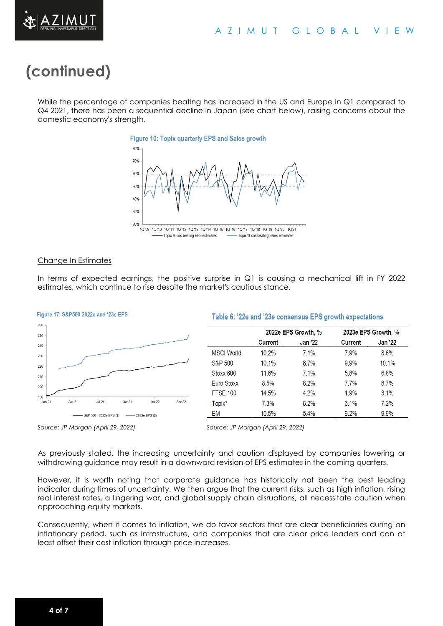

# **(continued)**

While the percentage of companies beating has increased in the US and Europe in Q1 compared to Q4 2021, there has been a sequential decline in Japan (see chart below), raising concerns about the domestic economy's strength.





#### Change In Estimates

In terms of expected earnings, the positive surprise in Q1 is causing a mechanical lift in FY 2022 estimates, which continue to rise despite the market's cautious stance.



Table 6: '22e and '23e consensus EPS growth expectations

|                    |                | 2022e EPS Growth, % |                | 2023e EPS Growth, % |  |
|--------------------|----------------|---------------------|----------------|---------------------|--|
|                    | <b>Current</b> | <b>Jan '22</b>      | <b>Current</b> | <b>Jan '22</b>      |  |
| <b>MSCI World</b>  | 10.2%          | 7.1%                | 7.9%           | 8.6%                |  |
| <b>S&amp;P 500</b> | 10.1%          | 8.7%                | 9.9%           | 10.1%               |  |
| Stoxx 600          | 11.6%          | 7.1%                | 5.8%           | 6.8%                |  |
| Euro Stoxx         | 8.5%           | 8.2%                | 7.7%           | 8.7%                |  |
| <b>FTSE 100</b>    | 14.5%          | 4.2%                | 1.9%           | 3.1%                |  |
| Topix*             | 7.3%           | 8.2%                | 6.1%           | 7.2%                |  |
| EM                 | 10.5%          | 5.4%                | 9.2%           | 9.9%                |  |

*Source: JP Morgan (April 29, 2022) Source: JP Morgan (April 29, 2022)*

As previously stated, the increasing uncertainty and caution displayed by companies lowering or withdrawing guidance may result in a downward revision of EPS estimates in the coming quarters.

However, it is worth noting that corporate guidance has historically not been the best leading indicator during times of uncertainty. We then argue that the current risks, such as high inflation, rising real interest rates, a lingering war, and global supply chain disruptions, all necessitate caution when approaching equity markets.

Consequently, when it comes to inflation, we do favor sectors that are clear beneficiaries during an inflationary period, such as infrastructure, and companies that are clear price leaders and can at least offset their cost inflation through price increases.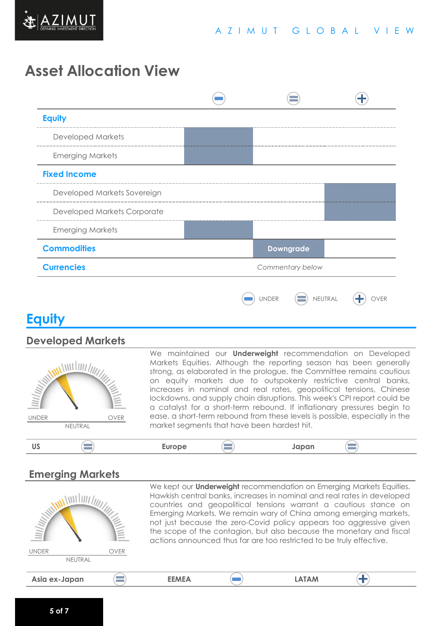

## **Asset Allocation View**

| <b>Equity</b>               |              |                  |  |
|-----------------------------|--------------|------------------|--|
| <b>Developed Markets</b>    |              |                  |  |
| <b>Emerging Markets</b>     |              |                  |  |
| <b>Fixed Income</b>         |              |                  |  |
| Developed Markets Sovereign |              |                  |  |
| Developed Markets Corporate |              |                  |  |
| <b>Emerging Markets</b>     |              |                  |  |
| <b>Commodities</b>          |              | <b>Downgrade</b> |  |
| <b>Currencies</b>           |              | Commentary below |  |
|                             | <b>JNDER</b> | NEUTRAL          |  |

## **Equity**

#### **Developed Markets**



We maintained our **Underweight** recommendation on Developed Markets Equities. Although the reporting season has been generally strong, as elaborated in the prologue, the Committee remains cautious on equity markets due to outspokenly restrictive central banks, increases in nominal and real rates, geopolitical tensions, Chinese lockdowns, and supply chain disruptions. This week's CPI report could be a catalyst for a short-term rebound. If inflationary pressures begin to ease, a short-term rebound from these levels is possible, especially in the market segments that have been hardest hit.



#### **Emerging Markets**

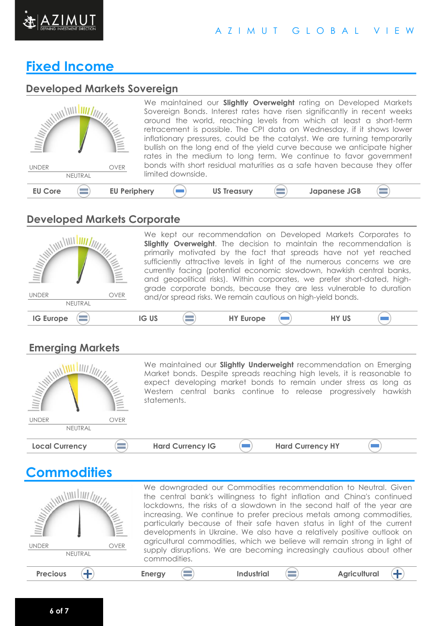

#### A Z I M U T G L O B A L V I E W

### **Fixed Income**

#### **Developed Markets Sovereign**

|                                       | We maintained our Slightly Overweight rating on Developed Markets                                                                                                                                                         |
|---------------------------------------|---------------------------------------------------------------------------------------------------------------------------------------------------------------------------------------------------------------------------|
|                                       | Sovereign Bonds. Interest rates have risen significantly in recent weeks<br>around the world, reaching levels from which at least a short-term                                                                            |
| <b>THE ALTER AND REAL PROPERTY</b>    | retracement is possible. The CPI data on Wednesday, if it shows lower                                                                                                                                                     |
|                                       | inflationary pressures, could be the catalyst. We are turning temporarily<br>bullish on the long end of the yield curve because we anticipate higher<br>rates in the medium to long term. We continue to favor government |
| OVER<br><b>UNDER</b>                  | bonds with short residual maturities as a safe haven because they offer                                                                                                                                                   |
| NEUTRAL                               | limited downside.                                                                                                                                                                                                         |
| <b>EU Periphery</b><br><b>EU Core</b> | <b>US Treasury</b><br><b>Japanese JGB</b>                                                                                                                                                                                 |

### **Developed Markets Corporate**

| <b>MANING</b><br><b>UNDER</b><br>OVER<br>NEUTRAL |              | We kept our recommendation on Developed Markets Corporates to<br>Slightly Overweight. The decision to maintain the recommendation is<br>primarily motivated by the fact that spreads have not yet reached<br>sufficiently attractive levels in light of the numerous concerns we are<br>currently facing (potential economic slowdown, hawkish central banks,<br>and geopolitical risks). Within corporates, we prefer short-dated, high-<br>grade corporate bonds, because they are less vulnerable to duration<br>and/or spread risks. We remain cautious on high-yield bonds. |              |
|--------------------------------------------------|--------------|----------------------------------------------------------------------------------------------------------------------------------------------------------------------------------------------------------------------------------------------------------------------------------------------------------------------------------------------------------------------------------------------------------------------------------------------------------------------------------------------------------------------------------------------------------------------------------|--------------|
| <b>IG Europe</b>                                 | <b>IG US</b> | <b>HY Europe</b>                                                                                                                                                                                                                                                                                                                                                                                                                                                                                                                                                                 | <b>HY US</b> |

### **Emerging Markets**

| <b>WITHING</b>        |             | statements.             | We maintained our <b>Slightly Underweight</b> recommendation on Emerging<br>Market bonds. Despite spreads reaching high levels, it is reasonable to<br>expect developing market bonds to remain under stress as long as<br>Western central banks continue to release progressively hawkish |  |
|-----------------------|-------------|-------------------------|--------------------------------------------------------------------------------------------------------------------------------------------------------------------------------------------------------------------------------------------------------------------------------------------|--|
| <b>UNDER</b>          | <b>OVER</b> |                         |                                                                                                                                                                                                                                                                                            |  |
| NEUTRAL               |             |                         |                                                                                                                                                                                                                                                                                            |  |
| <b>Local Currency</b> |             | <b>Hard Currency IG</b> | <b>Hard Currency HY</b>                                                                                                                                                                                                                                                                    |  |



We downgraded our Commodities recommendation to Neutral. Given WILLIAM LINE the central bank's willingness to fight inflation and China's continued lockdowns, the risks of a slowdown in the second half of the year are increasing. We continue to prefer precious metals among commodities, particularly because of their safe haven status in light of the current developments in Ukraine. We also have a relatively positive outlook on agricultural commodities, which we believe will remain strong in light of UNDER OVER supply disruptions. We are becoming increasingly cautious about other **NEUTRAL** commodities. **Precious**  $\left(\frac{1}{2}\right)$  **Energy**  $\left(\frac{1}{2}\right)$  **Industrial**  $\left(\frac{1}{2}\right)$  **Agricultural**  $\left( +\right)$